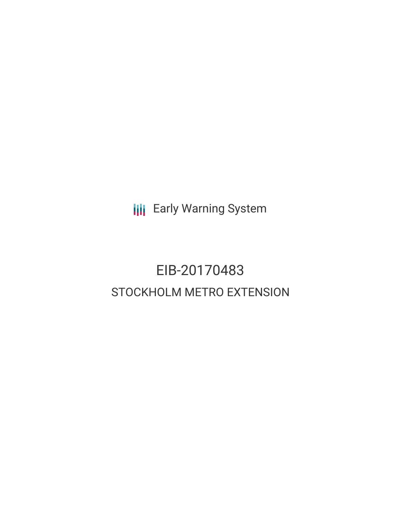**III** Early Warning System

## EIB-20170483 STOCKHOLM METRO EXTENSION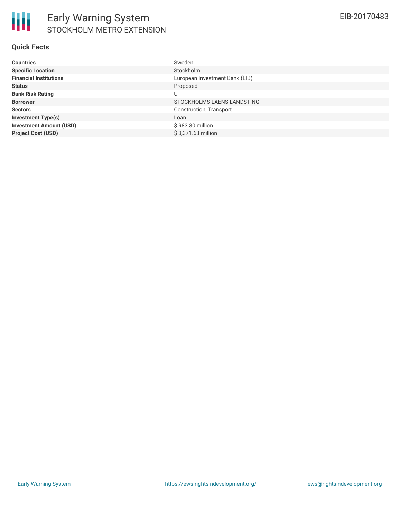## **Quick Facts**

| <b>Countries</b>               | Sweden                         |
|--------------------------------|--------------------------------|
| <b>Specific Location</b>       | Stockholm                      |
| <b>Financial Institutions</b>  | European Investment Bank (EIB) |
| <b>Status</b>                  | Proposed                       |
| <b>Bank Risk Rating</b>        | U                              |
| <b>Borrower</b>                | STOCKHOLMS LAENS LANDSTING     |
| <b>Sectors</b>                 | Construction, Transport        |
| <b>Investment Type(s)</b>      | Loan                           |
| <b>Investment Amount (USD)</b> | \$983.30 million               |
| <b>Project Cost (USD)</b>      | \$3.371.63 million             |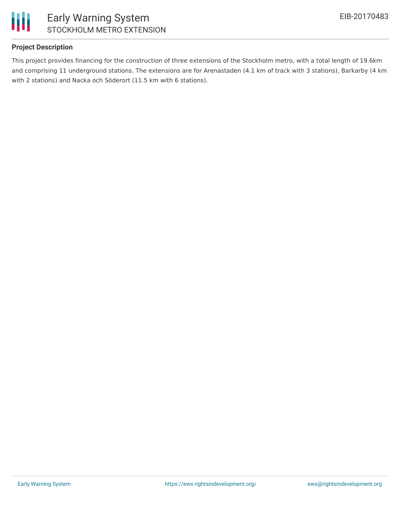

## **Project Description**

This project provides financing for the construction of three extensions of the Stockholm metro, with a total length of 19.6km and comprising 11 underground stations. The extensions are for Arenastaden (4.1 km of track with 3 stations), Barkarby (4 km with 2 stations) and Nacka och Söderort (11.5 km with 6 stations).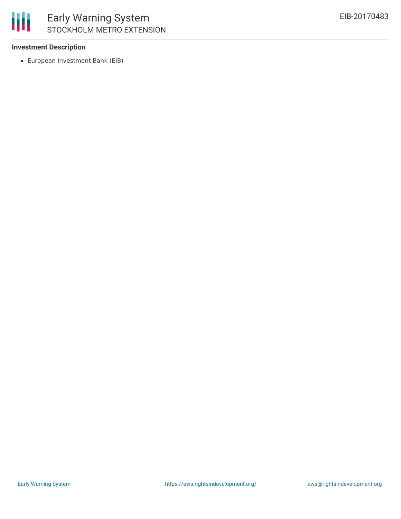

### **Investment Description**

European Investment Bank (EIB)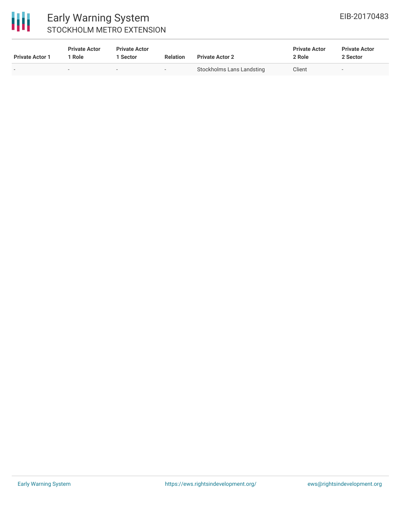# 冊

## Early Warning System STOCKHOLM METRO EXTENSION

| <b>Private Actor 1</b> | <b>Private Actor</b><br>1 Role | <b>Private Actor</b><br>1 Sector | <b>Relation</b> | <b>Private Actor 2</b>    | <b>Private Actor</b><br>2 Role | <b>Private Actor</b><br>2 Sector |
|------------------------|--------------------------------|----------------------------------|-----------------|---------------------------|--------------------------------|----------------------------------|
|                        | $\sim$                         |                                  | $\sim$          | Stockholms Lans Landsting | Client                         | $\sim$                           |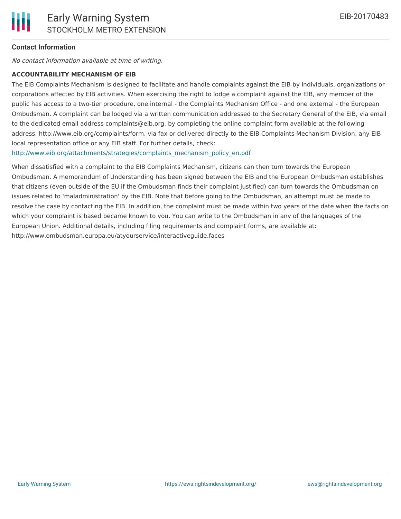## **Contact Information**

No contact information available at time of writing.

#### **ACCOUNTABILITY MECHANISM OF EIB**

The EIB Complaints Mechanism is designed to facilitate and handle complaints against the EIB by individuals, organizations or corporations affected by EIB activities. When exercising the right to lodge a complaint against the EIB, any member of the public has access to a two-tier procedure, one internal - the Complaints Mechanism Office - and one external - the European Ombudsman. A complaint can be lodged via a written communication addressed to the Secretary General of the EIB, via email to the dedicated email address complaints@eib.org, by completing the online complaint form available at the following address: http://www.eib.org/complaints/form, via fax or delivered directly to the EIB Complaints Mechanism Division, any EIB local representation office or any EIB staff. For further details, check:

[http://www.eib.org/attachments/strategies/complaints\\_mechanism\\_policy\\_en.pdf](http://www.eib.org/attachments/strategies/complaints_mechanism_policy_en.pdf)

When dissatisfied with a complaint to the EIB Complaints Mechanism, citizens can then turn towards the European Ombudsman. A memorandum of Understanding has been signed between the EIB and the European Ombudsman establishes that citizens (even outside of the EU if the Ombudsman finds their complaint justified) can turn towards the Ombudsman on issues related to 'maladministration' by the EIB. Note that before going to the Ombudsman, an attempt must be made to resolve the case by contacting the EIB. In addition, the complaint must be made within two years of the date when the facts on which your complaint is based became known to you. You can write to the Ombudsman in any of the languages of the European Union. Additional details, including filing requirements and complaint forms, are available at: http://www.ombudsman.europa.eu/atyourservice/interactiveguide.faces